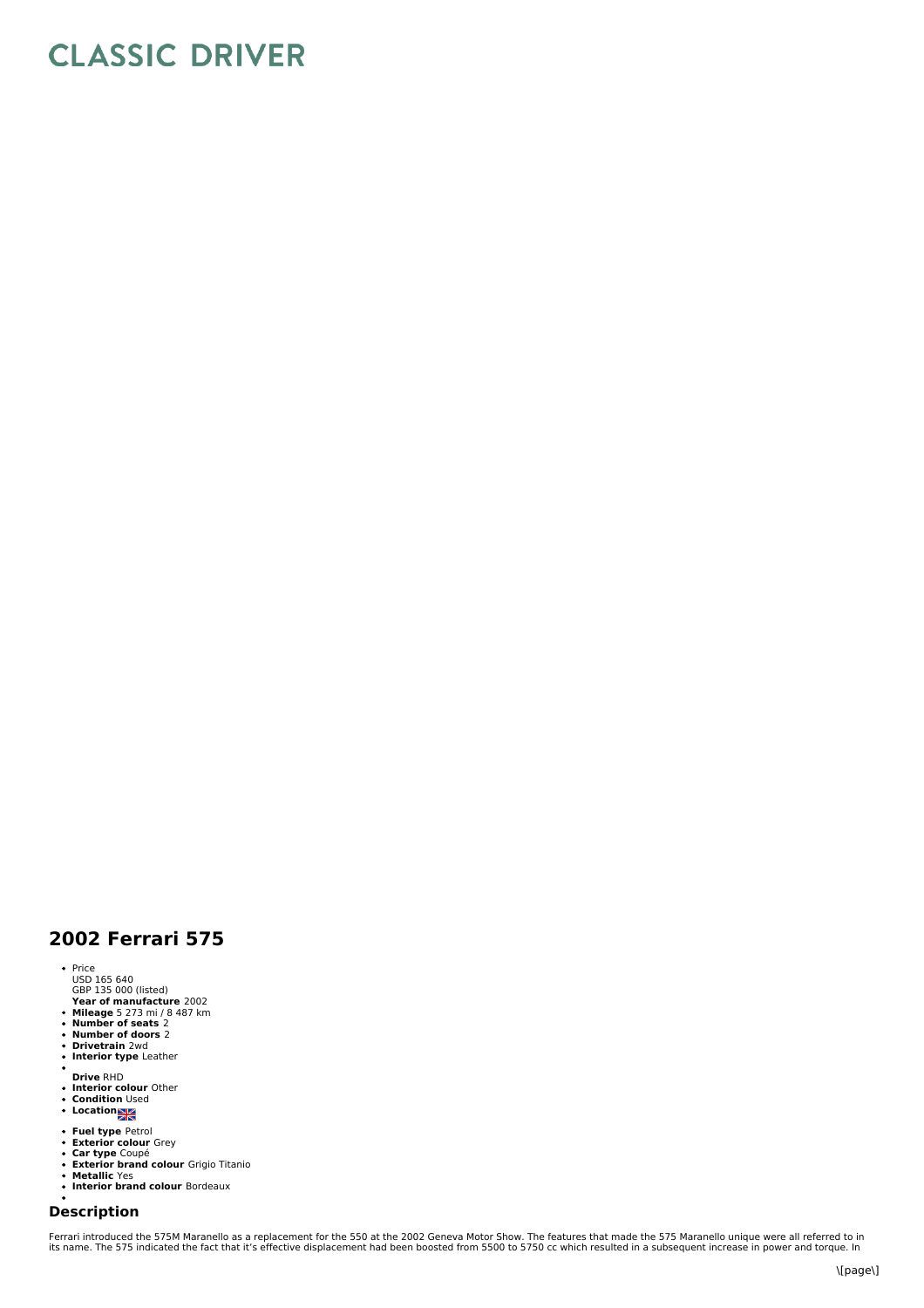## **CLASSIC DRIVER**

## **2002 Ferrari 575**

- Price
- USD 165 640 GBP 135 000 (listed)
- **Year of manufacture** 2002 **Mileage** 5 273 mi / 8 487 km **Number of seats** 2 **Number of doors** 2
- 
- 
- $\ddot{\phantom{0}}$ **Drivetrain** 2wd **Interior type** Leather  $\bullet$
- 
- 
- **Drive** RHD **Interior colour** Other **Condition** Used **Location**
- 
- 
- **Fuel type** Petrol **Exterior colour** Grey
- $\bullet$
- **Car type** Coupé **Exterior brand colour** Grigio Titanio **Metallic** Yes  $\ddot{\phantom{0}}$
- $\ddot{\phantom{a}}$ **Interior brand colour** Bordeaux
- $\ddot{\phantom{0}}$

## **Description**

Ferrari introduced the 575M Maranello as a replacement for the 550 at the 2002 Geneva Motor Show. The features that made the 575 Maranello unique were all referred to in<br>its name. The 575 indicated the fact that it's effec